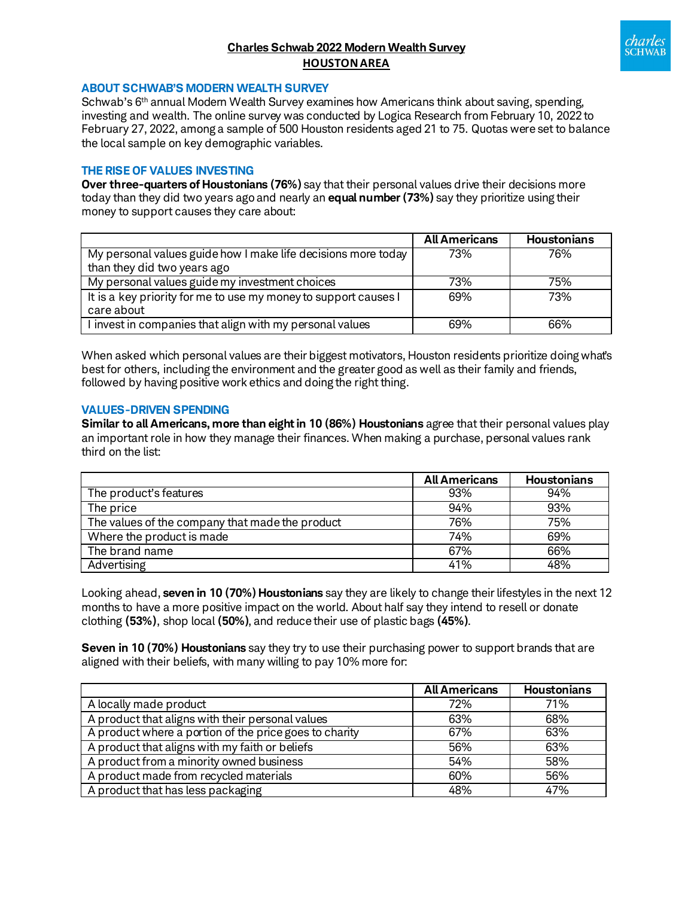# **Charles Schwab 2022 Modern Wealth Survey HOUSTONAREA**



#### **ABOUT SCHWAB'S MODERN WEALTH SURVEY**

Schwab's 6<sup>th</sup> annual Modern Wealth Survey examines how Americans think about saving, spending, investing and wealth. The online survey was conducted by Logica Research from February 10, 2022 to February 27, 2022, among a sample of 500 Houston residents aged 21 to 75. Quotas were set to balance the local sample on key demographic variables.

#### **THE RISE OF VALUES INVESTING**

**Over three-quarters of Houstonians (76%)** say that their personal values drive their decisions more today than they did two years ago and nearly an **equal number (73%)** say they prioritize using their money to support causes they care about:

|                                                                 | <b>All Americans</b> | <b>Houstonians</b> |
|-----------------------------------------------------------------|----------------------|--------------------|
| My personal values guide how I make life decisions more today   | 73%                  | 76%                |
| than they did two years ago                                     |                      |                    |
| My personal values guide my investment choices                  | 73%                  | 75%                |
| It is a key priority for me to use my money to support causes I | 69%                  | 73%                |
| care about                                                      |                      |                    |
| I invest in companies that align with my personal values        | 69%                  | 66%                |

When asked which personal values are their biggest motivators, Houston residents prioritize doing what's best for others, including the environment and the greater good as well as their family and friends, followed by having positive work ethics and doing the right thing.

#### **VALUES-DRIVEN SPENDING**

**Similar to all Americans, more than eight in 10 (86%) Houstonians** agree that their personal values play an important role in how they manage their finances. When making a purchase, personal values rank third on the list:

|                                                 | <b>All Americans</b> | <b>Houstonians</b> |
|-------------------------------------------------|----------------------|--------------------|
| The product's features                          | 93%                  | 94%                |
| The price                                       | 94%                  | 93%                |
| The values of the company that made the product | 76%                  | 75%                |
| Where the product is made                       | 74%                  | 69%                |
| The brand name                                  | 67%                  | 66%                |
| Advertising                                     | 41%                  | 48%                |

Looking ahead, **seven in 10 (70%) Houstonians** say they are likely to change their lifestyles in the next 12 months to have a more positive impact on the world. About half say they intend to resell or donate clothing **(53%)**, shop local **(50%)**, and reduce their use of plastic bags **(45%)**.

**Seven in 10 (70%) Houstonians** say they try to use their purchasing power to support brands that are aligned with their beliefs, with many willing to pay 10% more for:

|                                                        | <b>All Americans</b> | <b>Houstonians</b> |
|--------------------------------------------------------|----------------------|--------------------|
| A locally made product                                 | 72%                  | 71%                |
| A product that aligns with their personal values       | 63%                  | 68%                |
| A product where a portion of the price goes to charity | 67%                  | 63%                |
| A product that aligns with my faith or beliefs         | 56%                  | 63%                |
| A product from a minority owned business               | 54%                  | 58%                |
| A product made from recycled materials                 | 60%                  | 56%                |
| A product that has less packaging                      | 48%                  | 47%                |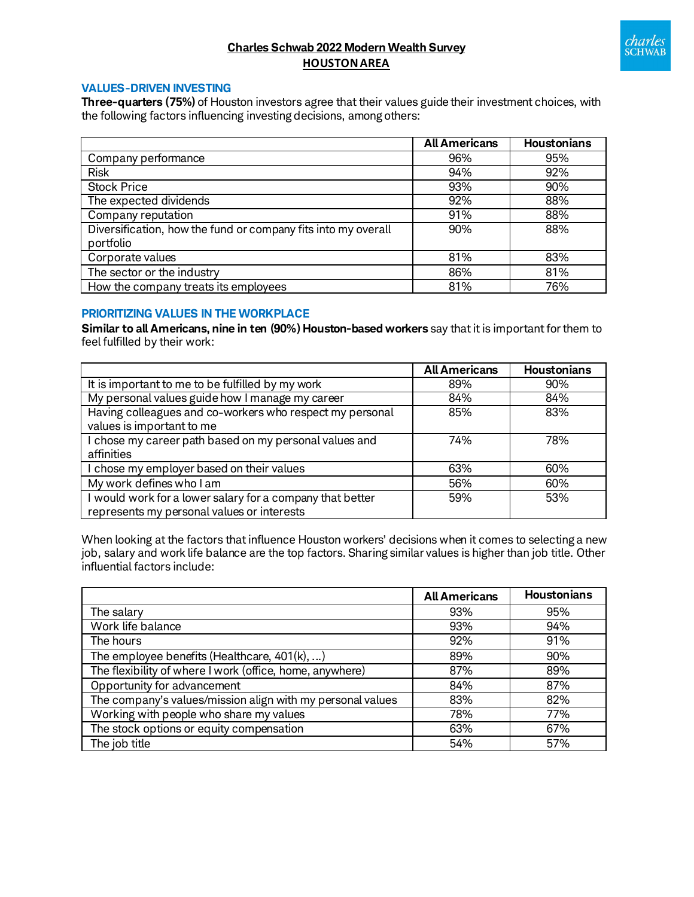

# **Charles Schwab 2022 Modern Wealth Survey HOUSTONAREA**

#### **VALUES-DRIVEN INVESTING**

**Three-quarters (75%)** of Houston investors agree that their values guide their investment choices, with the following factors influencing investing decisions, among others:

|                                                                            | <b>All Americans</b> | <b>Houstonians</b> |
|----------------------------------------------------------------------------|----------------------|--------------------|
| Company performance                                                        | 96%                  | 95%                |
| <b>Risk</b>                                                                | 94%                  | 92%                |
| <b>Stock Price</b>                                                         | 93%                  | 90%                |
| The expected dividends                                                     | 92%                  | 88%                |
| Company reputation                                                         | 91%                  | 88%                |
| Diversification, how the fund or company fits into my overall<br>portfolio | 90%                  | 88%                |
| Corporate values                                                           | 81%                  | 83%                |
| The sector or the industry                                                 | 86%                  | 81%                |
| How the company treats its employees                                       | 81%                  | 76%                |

### **PRIORITIZING VALUES IN THE WORKPLACE**

**Similar to all Americans, nine in ten (90%) Houston-based workers** say that it is important for them to feel fulfilled by their work:

|                                                                                                         | <b>All Americans</b> | <b>Houstonians</b> |
|---------------------------------------------------------------------------------------------------------|----------------------|--------------------|
| It is important to me to be fulfilled by my work                                                        | 89%                  | 90%                |
| My personal values guide how I manage my career                                                         | 84%                  | 84%                |
| Having colleagues and co-workers who respect my personal                                                | 85%                  | 83%                |
| values is important to me                                                                               |                      |                    |
| I chose my career path based on my personal values and<br>affinities                                    | 74%                  | 78%                |
| I chose my employer based on their values                                                               | 63%                  | 60%                |
| My work defines who I am                                                                                | 56%                  | 60%                |
| I would work for a lower salary for a company that better<br>represents my personal values or interests | 59%                  | 53%                |

When looking at the factors that influence Houston workers' decisions when it comes to selecting a new job, salary and work life balance are the top factors. Sharing similar values is higher than job title. Other influential factors include:

|                                                            | <b>All Americans</b> | <b>Houstonians</b> |
|------------------------------------------------------------|----------------------|--------------------|
| The salary                                                 | 93%                  | 95%                |
| Work life balance                                          | 93%                  | 94%                |
| The hours                                                  | 92%                  | 91%                |
| The employee benefits (Healthcare, 401(k), )               | 89%                  | 90%                |
| The flexibility of where I work (office, home, anywhere)   | 87%                  | 89%                |
| Opportunity for advancement                                | 84%                  | 87%                |
| The company's values/mission align with my personal values | 83%                  | 82%                |
| Working with people who share my values                    | 78%                  | 77%                |
| The stock options or equity compensation                   | 63%                  | 67%                |
| The job title                                              | 54%                  | 57%                |